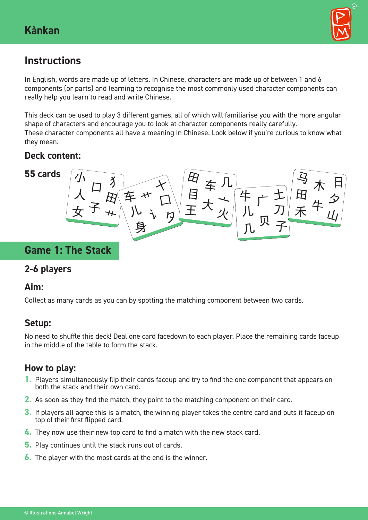

# **Instructions**

In English, words are made up of letters. In Chinese, characters are made up of between 1 and 6 components (or parts) and learning to recognise the most commonly used character components can really help you learn to read and write Chinese.

This deck can be used to play 3 different games, all of which will familiarise you with the more angular shape of characters and encourage you to look at character components really carefully. These character components all have a meaning in Chinese. Look below if you're curious to know what they mean.

# **Deck content:**



# **Game 1: The Stack**

## **2-6 players**

## **Aim:**

Collect as many cards as you can by spotting the matching component between two cards.

# **Setup:**

No need to shuffle this deck! Deal one card facedown to each player. Place the remaining cards faceup in the middle of the table to form the stack.

# **How to play:**

- **1.** Players simultaneously flip their cards faceup and try to find the one component that appears on both the stack and their own card.
- **2.** As soon as they find the match, they point to the matching component on their card.
- **3.** If players all agree this is a match, the winning player takes the centre card and puts it faceup on top of their first flipped card.
- **4.** They now use their new top card to find a match with the new stack card.
- **5.** Play continues until the stack runs out of cards.
- **6.** The player with the most cards at the end is the winner.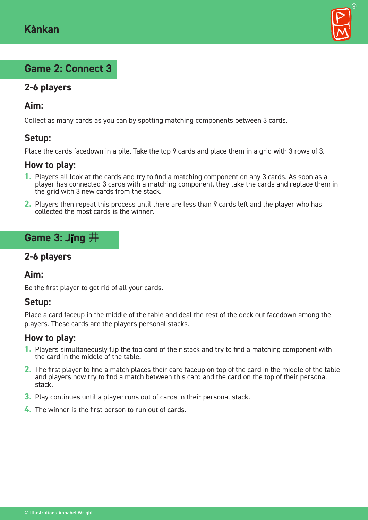

# **Game 2: Connect 3**

# **2-6 players**

#### **Aim:**

Collect as many cards as you can by spotting matching components between 3 cards.

## **Setup:**

Place the cards facedown in a pile. Take the top 9 cards and place them in a grid with 3 rows of 3.

#### **How to play:**

- **1.** Players all look at the cards and try to find a matching component on any 3 cards. As soon as a player has connected 3 cards with a matching component, they take the cards and replace them in the grid with 3 new cards from the stack.
- **2.** Players then repeat this process until there are less than 9 cards left and the player who has collected the most cards is the winner.

# **Game 3: Jing 井**

## **2-6 players**

### **Aim:**

Be the first player to get rid of all your cards.

#### **Setup:**

Place a card faceup in the middle of the table and deal the rest of the deck out facedown among the players. These cards are the players personal stacks.

#### **How to play:**

- **1.** Players simultaneously flip the top card of their stack and try to find a matching component with the card in the middle of the table.
- **2.** The first player to find a match places their card faceup on top of the card in the middle of the table and players now try to find a match between this card and the card on the top of their personal stack.
- **3.** Play continues until a player runs out of cards in their personal stack.
- **4.** The winner is the first person to run out of cards.